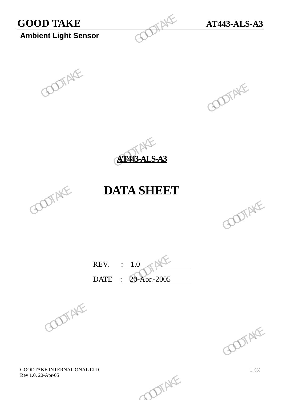# **GOOD TAKE AT443-ALS-A3**<br> **Ambient Light Sensor**

**Ambient Light Sensor**







### **DATA SHEET**



REV. : 1.0 DATE : 20-Apr.-2005 REV.  $\frac{1.0}{20\text{-Apr.}2005}$  GOOTAKE

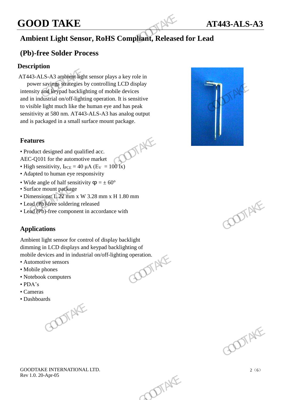## **GOOD TAKE AT443-ALS-A3**

### **Ambient Light Sensor, RoHS Compliant, Released for Lead**

### **(Pb)-free Solder Process**

#### **Description**

AT443-ALS-A3 ambient light sensor plays a key role in power savings strategies by controlling LCD display intensity and keypad backlighting of mobile devices and in industrial on/off-lighting operation. It is sensitive to visible light much like the human eye and has peak sensitivity at 580 nm. AT443-ALS-A3 has analog output and is packaged in a small surface mount package. **GOOD TAKE**<br> **Ambient Light Sensor, RoHS Compliant, Released**<br> **(Pb)-free Solder Process**<br>
Description<br>
AT443-ALS-A3 ambight light sensor plays a key role in<br>
power sayings strategies by controlling LCD display<br>
intensity power saving strategies by controlling LCD display<br>intensity and keying detectlighting of mobile devices<br>and in industrial on/off-lighting operation. It is sensitive<br>to visible light much like the human eye and has peak<br>s

#### **Features**



- Product designed and qualified acc.
- AEC-Q101 for the automotive market
- High sensitivity,  $I_{PCE} = 40 \mu A (E_V = 100 \text{ Jx})$
- Adapted to human eye responsivity
- Wide angle of half sensitivity  $\varphi = \pm 60^{\circ}$
- Surface mount package
- Dimensions: L 22 mm x W 3.28 mm x H 1.80 mm
- Lead (Pb)-free soldering released
- Lead (Pb)-free component in accordance with

### **Applications**

Ambient light sensor for control of display backlight dimming in LCD displays and keypad backlighting of<br>mobile devices and in industrial on/off-lighting operation.<br>• Automotive sensors<br>• Mobile phones<br>• Notebook computers<br>• PDA: mobile devices and in industrial on/off-lighting operation. b)-free soldering released<br>
o)-free component in accordance with<br> **ions**<br>  $\bigcup_{\text{GUS}} \bigcup_{\text{GUS}} \bigcup_{\text{GUS}} \bigcup_{\text{GUS}} \bigcup_{\text{GUS}} \bigcup_{\text{GUS}} \bigcup_{\text{GUS}} \bigcup_{\text{GUS}} \bigcup_{\text{GUS}} \bigcup_{\text{GUS}} \bigcup_{\text{GUS}} \bigcup_{\text{GUS}} \bigcup_{\text{GUS}} \bigcup_{\text{GUS}} \bigcup_{\text$ 

- Automotive sensors
- Mobile phones
- Notebook computers
- PDA's
- Cameras
- 

• Dashboards<br>
1





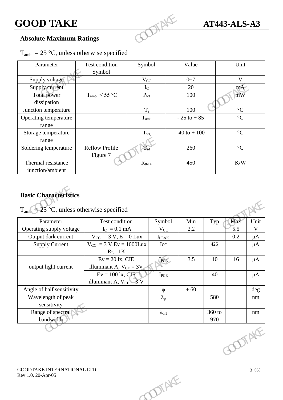### **Absolute Maximum Ratings**

| $T_{amb}$ = 25 °C, unless otherwise specified |  |  |  |  |
|-----------------------------------------------|--|--|--|--|
|-----------------------------------------------|--|--|--|--|

| <b>GOOD TAKE</b>                                                              |                                   |                  |                  | <b>AT443-ALS-A3</b> |     |                |             |
|-------------------------------------------------------------------------------|-----------------------------------|------------------|------------------|---------------------|-----|----------------|-------------|
| <b>Absolute Maximum Ratings</b>                                               |                                   |                  |                  |                     |     |                |             |
| $T_{amb}$ = 25 °C, unless otherwise specified                                 |                                   |                  |                  |                     |     |                |             |
| Parameter                                                                     | Test condition<br>Symbol          | Symbol           |                  | Value               |     | Unit           |             |
| Supply voltage                                                                |                                   | $V_{CC}$         |                  | $0 - 7$             |     | $\mathbf{V}$   |             |
| Supply current                                                                |                                   | $I_{C}$          |                  | 20                  |     | $mA^{\wedge}$  |             |
| <b>Total power</b><br>dissipation                                             | $T_{amb} \leq 55 °C$              | $P_{\text{tot}}$ |                  | 100                 |     | mW             |             |
| Junction temperature                                                          |                                   | $T_i$            |                  | 100                 |     | $\mathcal{C}$  |             |
| Operating temperature<br>range                                                |                                   | $T_{\rm amb}$    |                  | $-25$ to $+85$      |     | $\mathfrak{C}$ |             |
| Storage temperature<br>range                                                  |                                   | $T_{\text{stg}}$ |                  | $-40$ to $+100$     |     | $\mathcal{C}$  |             |
| Soldering temperature                                                         | <b>Reflow Profile</b><br>Figure 7 |                  |                  | 260                 |     | $\mathcal{C}$  |             |
| Thermal resistance<br>junction/ambient                                        |                                   | $R_{thJA}$       |                  | 450                 |     | K/W            |             |
| <b>Basic Characteristics</b><br>$T_{amb}$ = 25 °C, unless otherwise specified |                                   |                  |                  |                     |     |                |             |
| Parameter                                                                     | Test condition                    |                  | Symbol           | Min                 | Typ | Max            | Unit        |
| Operating supply voltage                                                      | $I_C = 0.1$ mA                    |                  | $V_{CC}$         | 2.2                 |     | 5.5            | $\mathbf V$ |
| Output dark current                                                           | $V_{CC} = 3 V, E = 0 Lux$         |                  | $I_{\rm I, EAK}$ |                     |     | 0.2            | $\mu A$     |

### **Basic Characteristics**

| $T_{amb}$ = 25 °C, unless otherwise specified     |                               |                        |      |        |               |             |
|---------------------------------------------------|-------------------------------|------------------------|------|--------|---------------|-------------|
| Parameter                                         | Test condition                | Symbol                 | Min  | Typ    | Max           | Unit        |
| Operating supply voltage                          | $I_C = 0.1$ mA                | $V_{CC}$               | 2.2  |        | 5.5           | $\mathbf V$ |
| Output dark current                               | $V_{CC} = 3 V, E = 0 Lux$     | $I_{L\underline{EAK}}$ |      |        | 0.2           | $\mu A$     |
| <b>Supply Current</b>                             | $V_{CC}$ = 3 V, Ev = 1000 Lux | Icc                    |      | 425    |               | $\mu A$     |
|                                                   | $R_L = 1K$                    |                        |      |        |               |             |
|                                                   | $Ev = 20$ lx, CIE             | IPCE                   | 3.5  | 10     | 16            | $\mu A$     |
| output light current                              | illuminant A, $V_{CE} = 3V$   |                        |      |        |               |             |
|                                                   | $Ev = 100$ lx, CIE            | $I_{PCE}$              |      | 40     |               | $\mu A$     |
|                                                   | illuminant A, $V_{CE} = 3 V$  |                        |      |        |               |             |
| Angle of half sensitivity                         |                               | $\varphi$              | ± 60 |        |               | deg         |
| Wavelength of peak                                |                               | $\lambda_{\rm p}$      |      | 580    |               | $\rm nm$    |
| sensitivity                                       |                               |                        |      |        |               |             |
| Range of spectral                                 |                               | $\lambda_{0.1}$        |      | 360 to |               | nm          |
| bandwidth                                         |                               |                        |      | 970    |               |             |
|                                                   |                               |                        |      |        | <b>COTAKE</b> |             |
| GOODTAKE INTERNATIONAL LTD.<br>Rev 1.0. 20-Apr-05 |                               | OTAKE                  |      |        |               | 3(6)        |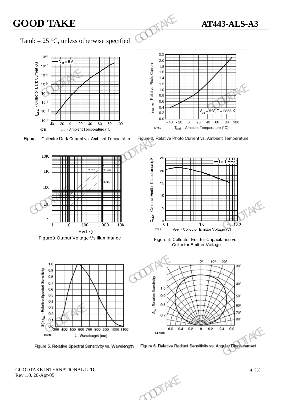## **GOOD TAKE AT443-ALS-A3**

### Tamb = 25 °C, unless otherwise specified





Figure**3**:Output Voltage Vs illuminance







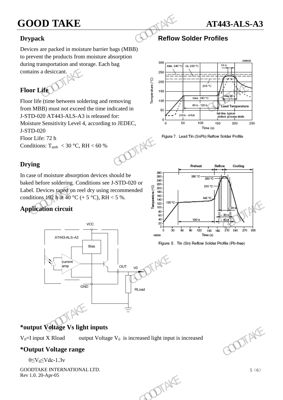### **GOOD TAKE AT443-ALS-A3**



### **Drypack Reflow Solder Profiles**

Devices are packed in moisture barrier bags (MBB) to prevent the products from moisture absorption during transportation and storage. Each bag contains a desiccant.

### **Floor Life**

Floor life (time between soldering and removing from MBB) must not exceed the time indicated in J-STD-020 AT443-ALS-A3 is released for: Moisture Sensitivity Level 4, according to JEDEC, J-STD-020 Floor Life: 72 h Conditions:  $T_{amb}$  < 30 °C, RH < 60 % **GOOD TAKE**<br>
Drypack<br>
Devices are packed in moisture barrier bags (MBB)<br>
to prevent the products from moisture absorption<br>
during transportation and storage. Each bag<br>
contains a desiccant.<br> **Floor Life**<br>
Floor Life<br>
Floo



### **Drying**

In case of moisture absorption devices should be baked before soldering. Conditions see J-STD-020 or Label. Devices taped on reel dry using recommended conditions 192 h at 40 °C (+ 5 °C), RH < 5 %.

### **Application circuit**





 $V_0$ =I input X Rload output Voltage  $V_0$  is increased light input is increased

### **\*Output Voltage range**

 $0 \leq V_0 \leq V$ dc-1.3v







5(6)